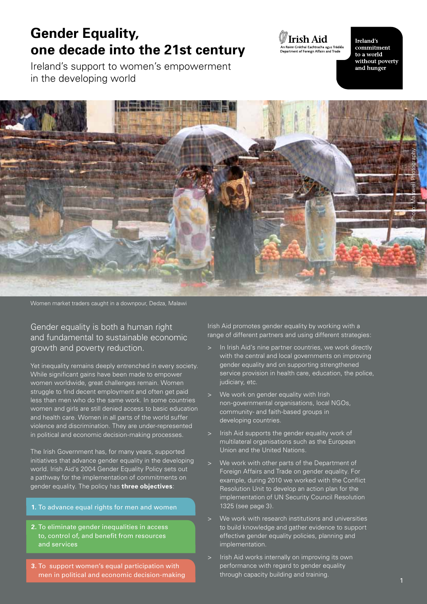## **Gender Equality, one decade into the 21st century**

Ireland's support to women's empowerment in the developing world



Ireland's commitment to a world without poverty and hunger



Women market traders caught in a downpour, Dedza, Malawi

Gender equality is both a human right and fundamental to sustainable economic growth and poverty reduction.

Yet inequality remains deeply entrenched in every society. While significant gains have been made to empower women worldwide, great challenges remain. Women struggle to find decent employment and often get paid less than men who do the same work. In some countries women and girls are still denied access to basic education and health care. Women in all parts of the world suffer violence and discrimination. They are under-represented in political and economic decision-making processes.

The Irish Government has, for many years, supported initiatives that advance gender equality in the developing world. Irish Aid's 2004 Gender Equality Policy sets out a pathway for the implementation of commitments on gender equality. The policy has **three objectives**:

#### **1.** To advance equal rights for men and women

- **2.** To eliminate gender inequalities in access to, control of, and benefit from resources and services
- **3.** To support women's equal participation with men in political and economic decision-making

Irish Aid promotes gender equality by working with a range of different partners and using different strategies:

- In Irish Aid's nine partner countries, we work directly with the central and local governments on improving gender equality and on supporting strengthened service provision in health care, education, the police, judiciary, etc.
- We work on gender equality with Irish non-governmental organisations, local NGOs, community- and faith-based groups in developing countries.
- Irish Aid supports the gender equality work of multilateral organisations such as the European Union and the United Nations.
- We work with other parts of the Department of Foreign Affairs and Trade on gender equality. For example, during 2010 we worked with the Conflict Resolution Unit to develop an action plan for the implementation of UN Security Council Resolution 1325 (see page 3).
- We work with research institutions and universities to build knowledge and gather evidence to support effective gender equality policies, planning and implementation.
- Irish Aid works internally on improving its own performance with regard to gender equality through capacity building and training.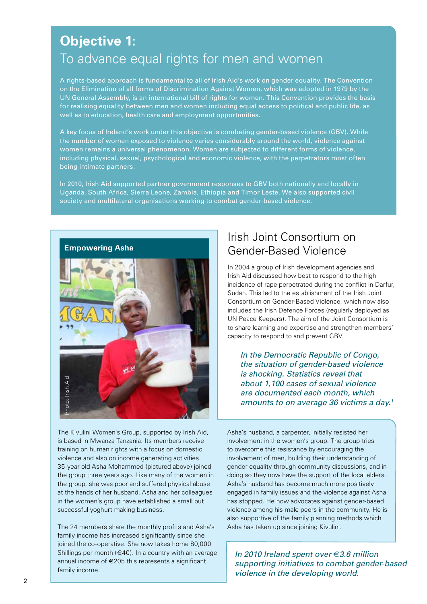## **Objective 1:** To advance equal rights for men and women

A rights-based approach is fundamental to all of Irish Aid's work on gender equality. The Convention on the Elimination of all forms of Discrimination Against Women, which was adopted in 1979 by the UN General Assembly, is an international bill of rights for women. This Convention provides the basis for realising equality between men and women including equal access to political and public life, as well as to education, health care and employment opportunities.

A key focus of Ireland's work under this objective is combating gender-based violence (GBV). While the number of women exposed to violence varies considerably around the world, violence against women remains a universal phenomenon. Women are subjected to different forms of violence, including physical, sexual, psychological and economic violence, with the perpetrators most often being intimate partners.

In 2010, Irish Aid supported partner government responses to GBV both nationally and locally in Uganda, South Africa, Sierra Leone, Zambia, Ethiopia and Timor Leste. We also supported civil society and multilateral organisations working to combat gender-based violence.



The Kivulini Women's Group, supported by Irish Aid, is based in Mwanza Tanzania. Its members receive training on human rights with a focus on domestic violence and also on income generating activities. 35-year old Asha Mohammed (pictured above) joined the group three years ago. Like many of the women in the group, she was poor and suffered physical abuse at the hands of her husband. Asha and her colleagues in the women's group have established a small but successful yoghurt making business.

The 24 members share the monthly profits and Asha's family income has increased significantly since she joined the co-operative. She now takes home 80,000 Shillings per month ( $€40$ ). In a country with an average annual income of €205 this represents a significant family income.

### Irish Joint Consortium on Gender-Based Violence

In 2004 a group of Irish development agencies and Irish Aid discussed how best to respond to the high incidence of rape perpetrated during the conflict in Darfur, Sudan. This led to the establishment of the Irish Joint Consortium on Gender-Based Violence, which now also includes the Irish Defence Forces (regularly deployed as UN Peace Keepers). The aim of the Joint Consortium is to share learning and expertise and strengthen members' capacity to respond to and prevent GBV.

*In the Democratic Republic of Congo, the situation of gender-based violence is shocking. Statistics reveal that about 1,100 cases of sexual violence are documented each month, which amounts to on average 36 victims a day.1*

Asha's husband, a carpenter, initially resisted her involvement in the women's group. The group tries to overcome this resistance by encouraging the involvement of men, building their understanding of gender equality through community discussions, and in doing so they now have the support of the local elders. Asha's husband has become much more positively engaged in family issues and the violence against Asha has stopped. He now advocates against gender-based violence among his male peers in the community. He is also supportive of the family planning methods which Asha has taken up since joining Kivulini.

*In 2010 Ireland spent over €3.6 million supporting initiatives to combat gender-based violence in the developing world.*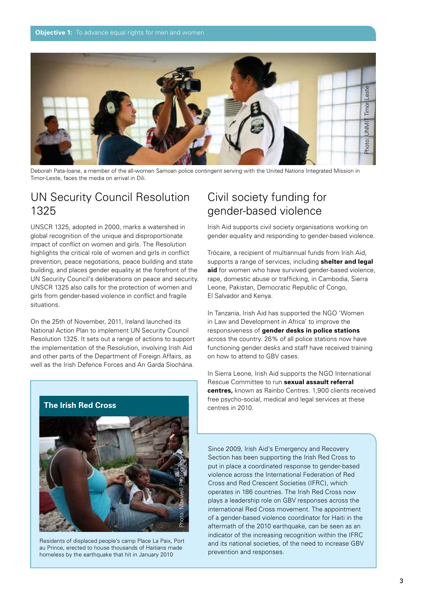

Deborah Pata-Ioane, a member of the all-women Samoan police contingent serving with the United Nations Integrated Mission in Timor-Leste, faces the media on arrival in Dili.

#### UN Security Council Resolution 1325

UNSCR 1325, adopted in 2000, marks a watershed in global recognition of the unique and disproportionate impact of conflict on women and girls. The Resolution highlights the critical role of women and girls in conflict prevention, peace negotiations, peace building and state building, and places gender equality at the forefront of the UN Security Council's deliberations on peace and security. UNSCR 1325 also calls for the protection of women and girls from gender-based violence in conflict and fragile situations.

On the 25th of November, 2011, Ireland launched its National Action Plan to implement UN Security Council Resolution 1325. It sets out a range of actions to support the implementation of the Resolution, involving Irish Aid and other parts of the Department of Foreign Affairs, as well as the Irish Defence Forces and An Garda Síochána.



**IFF 2010 IRELAND IS 2010 IRELAND SPEND IRELAND IN A SUBARUPA SPEND IS 2010** Residents of displaced people's camp Place La Paix, Port au Prince, erected to house thousands of Haitians made

#### Civil society funding for gender-based violence

Irish Aid supports civil society organisations working on gender equality and responding to gender-based violence.

Trócaire, a recipient of multiannual funds from Irish Aid, supports a range of services, including **shelter and legal aid** for women who have survived gender-based violence, rape, domestic abuse or trafficking, in Cambodia, Sierra Leone, Pakistan, Democratic Republic of Congo, El Salvador and Kenya.

In Tanzania, Irish Aid has supported the NGO 'Women in Law and Development in Africa' to improve the responsiveness of **gender desks in police stations** across the country. 26% of all police stations now have functioning gender desks and staff have received training on how to attend to GBV cases.

In Sierra Leone, Irish Aid supports the NGO International Rescue Committee to run **sexual assault referral centres,** known as Rainbo Centres. 1,900 clients received free psycho-social, medical and legal services at these centres in 2010.

Since 2009, Irish Aid's Emergency and Recovery Section has been supporting the Irish Red Cross to put in place a coordinated response to gender-based violence across the International Federation of Red Cross and Red Crescent Societies (IFRC), which operates in 186 countries. The Irish Red Cross now plays a leadership role on GBV responses across the international Red Cross movement. The appointment of a gender-based violence coordinator for Haiti in the aftermath of the 2010 earthquake, can be seen as an indicator of the increasing recognition within the IFRC and its national societies, of the need to increase GBV prevention and responses.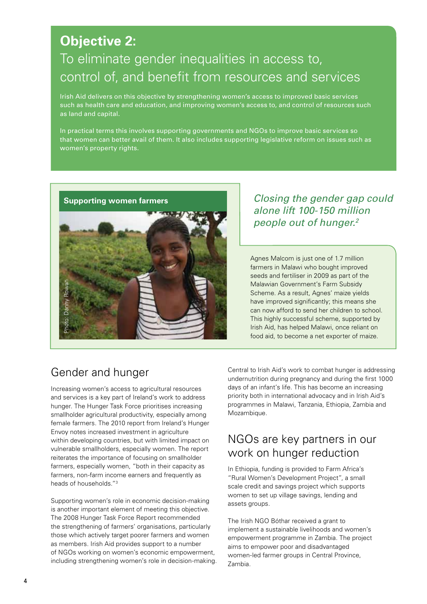## **Objective 2:**

## To eliminate gender inequalities in access to, control of, and benefit from resources and services

Irish Aid delivers on this objective by strengthening women's access to improved basic services such as health care and education, and improving women's access to, and control of resources such as land and capital.

In practical terms this involves supporting governments and NGOs to improve basic services so that women can better avail of them. It also includes supporting legislative reform on issues such as women's property rights.



#### *Closing the gender gap could alone lift 100-150 million people out of hunger.2*

Agnes Malcom is just one of 1.7 million farmers in Malawi who bought improved seeds and fertiliser in 2009 as part of the Malawian Government's Farm Subsidy Scheme. As a result, Agnes' maize yields have improved significantly; this means she can now afford to send her children to school. This highly successful scheme, supported by Irish Aid, has helped Malawi, once reliant on food aid, to become a net exporter of maize.

## Gender and hunger

Increasing women's access to agricultural resources and services is a key part of Ireland's work to address hunger. The Hunger Task Force prioritises increasing smallholder agricultural productivity, especially among female farmers. The 2010 report from Ireland's Hunger Envoy notes increased investment in agriculture within developing countries, but with limited impact on vulnerable smallholders, especially women. The report reiterates the importance of focusing on smallholder farmers, especially women, "both in their capacity as farmers, non-farm income earners and frequently as heads of households."3

Supporting women's role in economic decision-making is another important element of meeting this objective. The 2008 Hunger Task Force Report recommended the strengthening of farmers' organisations, particularly those which actively target poorer farmers and women as members. Irish Aid provides support to a number of NGOs working on women's economic empowerment, including strengthening women's role in decision-making. Central to Irish Aid's work to combat hunger is addressing undernutrition during pregnancy and during the first 1000 days of an infant's life. This has become an increasing priority both in international advocacy and in Irish Aid's programmes in Malawi, Tanzania, Ethiopia, Zambia and Mozambique.

#### NGOs are key partners in our work on hunger reduction

In Ethiopia, funding is provided to Farm Africa's "Rural Women's Development Project", a small scale credit and savings project which supports women to set up village savings, lending and assets groups.

The Irish NGO Bóthar received a grant to implement a sustainable livelihoods and women's empowerment programme in Zambia. The project aims to empower poor and disadvantaged women-led farmer groups in Central Province, Zambia.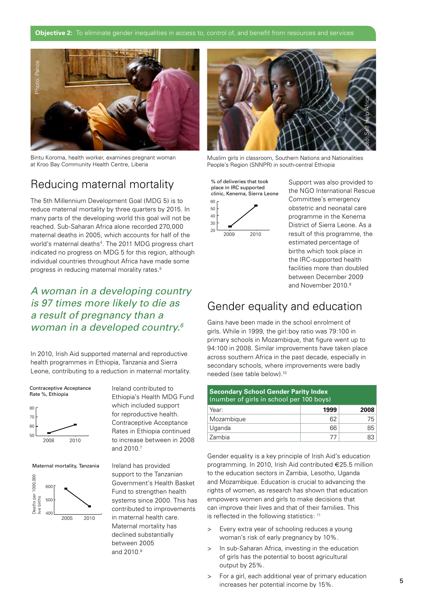

Bintu Koroma, health worker, examines pregnant woman at Kroo Bay Community Health Centre, Liberia



Muslim girls in classroom, Southern Nations and Nationalities People's Region (SNNPR) in south-central Ethiopia

#### Reducing maternal mortality

The 5th Millennium Development Goal (MDG 5) is to reduce maternal mortality by three quarters by 2015. In many parts of the developing world this goal will not be reached. Sub-Saharan Africa alone recorded 270,000 maternal deaths in 2005, which accounts for half of the world's maternal deaths<sup>4</sup>. The 2011 MDG progress chart indicated no progress on MDG 5 for this region, although individual countries throughout Africa have made some progress in reducing maternal morality rates.<sup>5</sup>

#### *A woman in a developing country is 97 times more likely to die as a result of pregnancy than a woman in a developed country.6*

In 2010, Irish Aid supported maternal and reproductive health programmes in Ethiopia, Tanzania and Sierra Leone, contributing to a reduction in maternal mortality.

Contraceptive Acceptance Rate %, Ethiopia



Maternal mortality, Tanzania



Ireland contributed to Ethiopia's Health MDG Fund which included support for reproductive health. Contraceptive Acceptance Rates in Ethiopia continued to increase between in 2008 and 2010.7

Ireland has provided support to the Tanzanian Government's Health Basket Fund to strengthen health systems since 2000. This has contributed to improvements in maternal health care. Maternal mortality has declined substantially between 2005 and 2010.8

% of deliveries that took place in IRC supported clinic, Kenema, Sierra Leone 60 50



Support was also provided to the NGO International Rescue Committee's emergency obstetric and neonatal care programme in the Kenema District of Sierra Leone. As a result of this programme, the estimated percentage of births which took place in the IRC-supported health facilities more than doubled between December 2009 and November 2010.<sup>9</sup>

#### Gender equality and education

Gains have been made in the school enrolment of girls. While in 1999, the girl:boy ratio was 79:100 in primary schools in Mozambique, that figure went up to 94:100 in 2008. Similar improvements have taken place across southern Africa in the past decade, especially in secondary schools, where improvements were badly needed (see table below).10

| <b>Secondary School Gender Parity Index</b><br>(number of girls in school per 100 boys) |      |      |
|-----------------------------------------------------------------------------------------|------|------|
| Year:                                                                                   | 1999 | 2008 |
| Mozambique                                                                              | 62   | 75   |
| Uganda                                                                                  | 66   | 85   |
| Zambia                                                                                  |      | 83   |

Gender equality is a key principle of Irish Aid's education programming. In 2010, Irish Aid contributed €25.5 million to the education sectors in Zambia, Lesotho, Uganda and Mozambique. Education is crucial to advancing the rights of women, as research has shown that education empowers women and girls to make decisions that can improve their lives and that of their families. This is reflected in the following statistics:  $11$ 

- > Every extra year of schooling reduces a young woman's risk of early pregnancy by 10%.
- > In sub-Saharan Africa, investing in the education of girls has the potential to boost agricultural output by 25%.
- > For a girl, each additional year of primary education increases her potential income by 15%.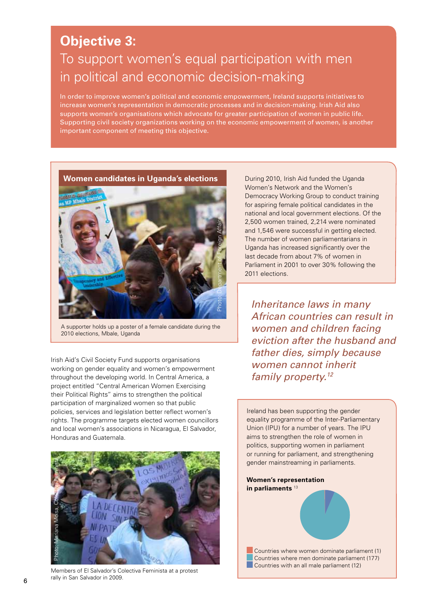## **Objective 3:**

# To support women's equal participation with men in political and economic decision-making

In order to improve women's political and economic empowerment, Ireland supports initiatives to increase women's representation in democratic processes and in decision-making. Irish Aid also supports women's organisations which advocate for greater participation of women in public life. Supporting civil society organizations working on the economic empowerment of women, is another important component of meeting this objective.



A supporter holds up a poster of a female candidate during the 2010 elections, Mbale, Uganda

Irish Aid's Civil Society Fund supports organisations working on gender equality and women's empowerment throughout the developing world. In Central America, a project entitled "Central American Women Exercising their Political Rights" aims to strengthen the political participation of marginalized women so that public policies, services and legislation better reflect women's rights. The programme targets elected women councillors and local women's associations in Nicaragua, El Salvador, Honduras and Guatemala.



Members of El Salvador's Colectiva Feminista at a protest rally in San Salvador in 2009.

Women's Network and the Women's Democracy Working Group to conduct training for aspiring female political candidates in the national and local government elections. Of the 2,500 women trained, 2,214 were nominated and 1,546 were successful in getting elected. The number of women parliamentarians in Uganda has increased significantly over the last decade from about 7% of women in Parliament in 2001 to over 30% following the 2011 elections.

*Inheritance laws in many African countries can result in women and children facing eviction after the husband and father dies, simply because women cannot inherit family property.12*

Ireland has been supporting the gender equality programme of the Inter-Parliamentary Union (IPU) for a number of years. The IPU aims to strengthen the role of women in politics, supporting women in parliament or running for parliament, and strengthening gender mainstreaming in parliaments.

**Women's representation in parliaments** <sup>13</sup>

 Countries where women dominate parliament (1) Countries where men dominate parliament (177) **Countries with an all male parliament (12)**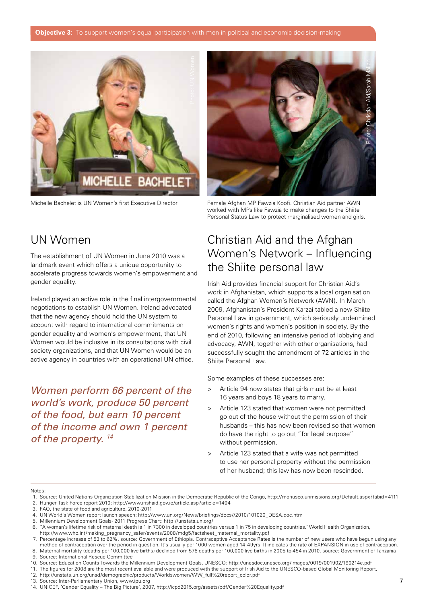

Michelle Bachelet is UN Women's first Executive Director



Female Afghan MP Fawzia Koofi. Christian Aid partner AWN worked with MPs like Fawzia to make changes to the Shiite Personal Status Law to protect marginalised women and girls.

#### UN Women

The establishment of UN Women in June 2010 was a landmark event which offers a unique opportunity to accelerate progress towards women's empowerment and gender equality.

Ireland played an active role in the final intergovernmental negotiations to establish UN Women. Ireland advocated that the new agency should hold the UN system to account with regard to international commitments on gender equality and women's empowerment, that UN Women would be inclusive in its consultations with civil society organizations, and that UN Women would be an active agency in countries with an operational UN office.

*Women perform 66 percent of the world's work, produce 50 percent of the food, but earn 10 percent of the income and own 1 percent of the property. 14*

### Christian Aid and the Afghan Women's Network – Influencing the Shiite personal law

Irish Aid provides financial support for Christian Aid's work in Afghanistan, which supports a local organisation called the Afghan Women's Network (AWN). In March 2009, Afghanistan's President Karzai tabled a new Shiite Personal Law in government, which seriously undermined women's rights and women's position in society. By the end of 2010, following an intensive period of lobbying and advocacy, AWN, together with other organisations, had successfully sought the amendment of 72 articles in the Shiite Personal Law.

Some examples of these successes are:

- > Article 94 now states that girls must be at least 16 years and boys 18 years to marry.
- > Article 123 stated that women were not permitted go out of the house without the permission of their husbands – this has now been revised so that women do have the right to go out "for legal purpose" without permission.
- > Article 123 stated that a wife was not permitted to use her personal property without the permission of her husband; this law has now been rescinded.

#### Notes:

- 1. Source: United Nations Organization Stabilization Mission in the Democratic Republic of the Congo, http://monusco.unmissions.org/Default.aspx?tabid=4111
- 2. Hunger Task Force report 2010: http://www.irishaid.gov.ie/article.asp?article=1404
- 3. FAO, the state of food and agriculture, 2010-2011
- 4. UN World's Women report launch speech: http://www.un.org/News/briefings/docs//2010/101020\_DESA.doc.htm
- 5. Millennium Development Goals- 2011 Progress Chart: http://unstats.un.org/ 6. "A woman's lifetime risk of maternal death is 1 in 7300 in developed countries versus 1 in 75 in developing countries."World Health Organization,
- http://www.who.int/making\_pregnancy\_safer/events/2008/mdg5/factsheet\_maternal\_mortality.pdf 7. Percentage increase of 53 to 62%, source: Government of Ethiopia. Contraceptive Acceptance Rates is the number of new users who have begun using any

 method of contraception over the period in question. It's usually per 1000 women aged 14-49yrs. It indicates the rate of EXPANSION in use of contraception. 8. Maternal mortality (deaths per 100,000 live births) declined from 578 deaths per 100,000 live births in 2005 to 454 in 2010, source: Government of Tanzania

- 9. Source: International Rescue Committee
- 10. Source: Education Counts Towards the Millennium Development Goals, UNESCO: http://unesdoc.unesco.org/images/0019/001902/190214e.pdf

11. The figures for 2008 are the most recent available and were produced with the support of Irish Aid to the UNESCO-based Global Monitoring Report.

- 12. http://unstats.un.org/unsd/demographic/products/Worldswomen/WW\_full%20report\_color.pdf
- 13. Source: Inter-Parliamentary Union, www.ipu.org

<sup>14.</sup> UNICEF, 'Gender Equality – The Big Picture', 2007, http://icpd2015.org/assets/pdf/Gender%20Equality.pdf